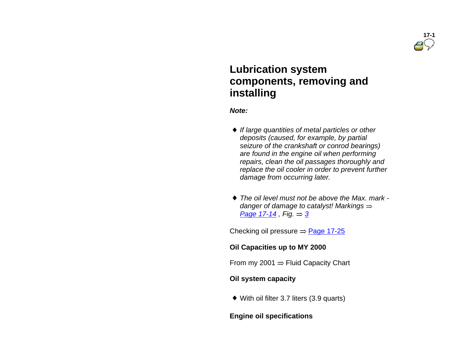

# **Lubrication system components, removing and installing**

*Note:*

- *If large quantities of metal particles or other deposits (caused, for example, by partial seizure of the crankshaft or conrod bearings) are found in the engine oil when performing repairs, clean the oil passages thoroughly and replace the oil cooler in order to prevent further damage from occurring later.*
- *The oil level must not be above the Max. mark danger of damage to catalyst! Markings Page 17-14 , Fig. 3*

Checking oil pressure  $=$  Page 17-25

#### **Oil Capacities up to MY 2000**

From my 2001  $=$  Fluid Capacity Chart

#### **Oil system capacity**

With oil filter 3.7 liters (3.9 quarts)

#### **Engine oil specifications**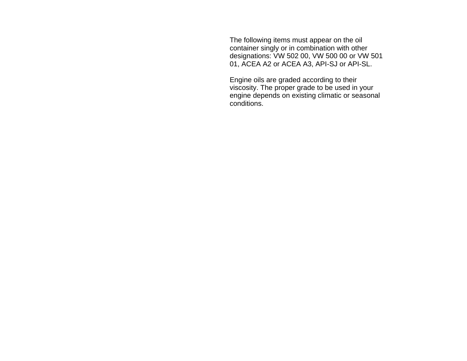The following items must appear on the oil container singly or in combination with other designations: VW 502 00, VW 500 00 or VW 501 01, ACEA A2 or ACEA A3, API-SJ or API-SL.

 Engine oils are graded according to their viscosity. The proper grade to be used in your engine depends on existing climatic or seasonal conditions.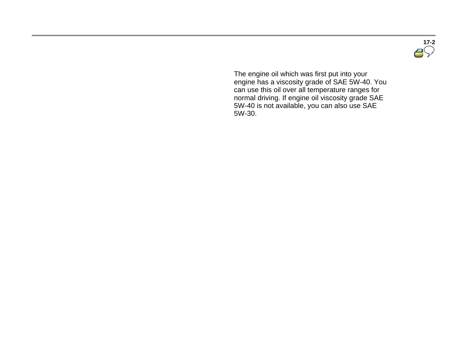**17-2**

 The engine oil which was first put into your engine has a viscosity grade of SAE 5W-40. You can use this oil over all temperature ranges for normal driving. If engine oil viscosity grade SAE 5W-40 is not available, you can also use SAE 5W-30.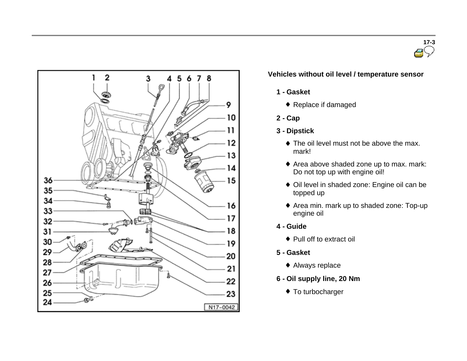



## **Vehicles without oil level / temperature sensor**

- **1 - Gasket**
	- ◆ Replace if damaged
- **2 - Cap**
- **3 - Dipstick**
	- The oil level must not be above the max. mark!
	- Area above shaded zone up to max. mark: Do not top up with engine oil!
	- Oil level in shaded zone: Engine oil can be topped up
	- Area min. mark up to shaded zone: Top-up engine oil
- **4 - Guide**
	- ◆ Pull off to extract oil
- **5 - Gasket**
	- Always replace
- **6 - Oil supply line, 20 Nm**
	- ◆ To turbocharger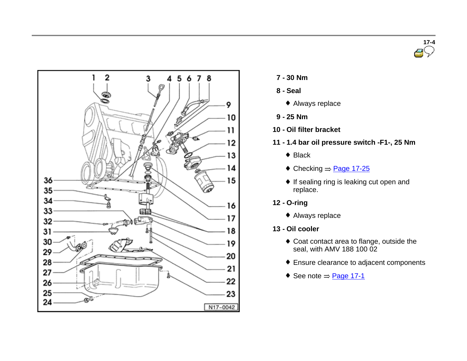



- **7 - <sup>30</sup> Nm**
- **8 - Seal**
	- Always replace
- **9 - 25 Nm**
- **10 - Oil filter bracket**
- **11 - 1.4 bar oil pressure switch -F1-, 25 Nm**
	- ◆ Black
	- $\triangleleft$  Checking  $\Rightarrow$  Page 17-25
	- If sealing ring is leaking cut open and replace.
- **12 - O-ring**
	- Always replace
- **13 - Oil cooler**
	- Coat contact area to flange, outside the seal, with AMV 188 100 02
	- Ensure clearance to adjacent components
	- $\bullet$  See note  $\Rightarrow$  Page 17-1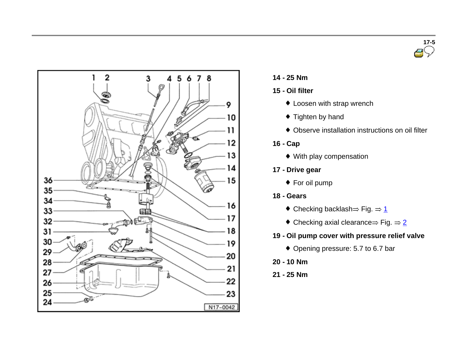



- **14 - <sup>25</sup> Nm**
- **15 - Oil filter**
	- $\bullet$  Loosen with strap wrench
	- ◆ Tighten by hand
	- Observe installation instructions on oil filter
- **16 - Cap**
	- With play compensation
- **17 - Drive gear**
	- ◆ For oil pump
- **18 - Gears**
	- $\bullet$  Checking backlash  $\Rightarrow$  Fig.  $\Rightarrow$  1
	- $\bullet$  Checking axial clearance  $\Rightarrow$  Fig.  $\Rightarrow$  2
- **19 - Oil pump cover with pressure relief valve**
	- ◆ Opening pressure: 5.7 to 6.7 bar
- **20 - 10 Nm**
- **21 - 25 Nm**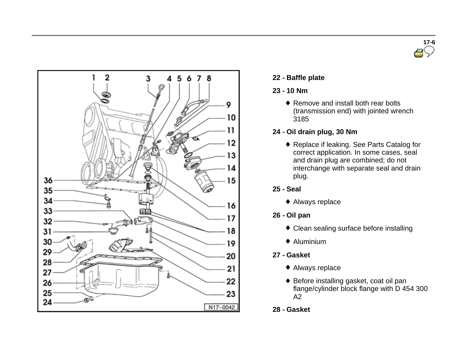



## **22 - Baffle plate**

## **23 - 10 Nm**

◆ Remove and install both rear bolts (transmission end) with jointed wrench 3185

## **24 - Oil drain plug, 30 Nm**

◆ Replace if leaking. See Parts Catalog for correct application. In some cases, seal and drain plug are combined; do not interchange with separate seal and drain plug.

## **25 - Seal**

Always replace

## **26 - Oil pan**

- Clean sealing surface before installing
- $\triangleq$  Aluminium

## **27 - Gasket**

- Always replace
- ◆ Before installing gasket, coat oil pan flange/cylinder block flange with D 454 300 A2
- **28 - Gasket**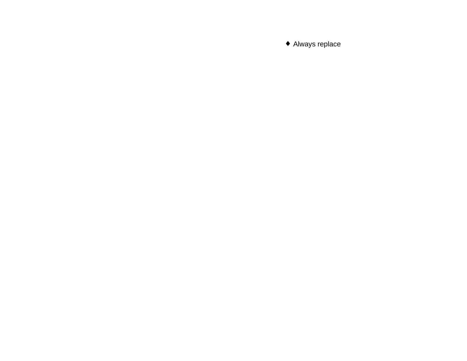Always replace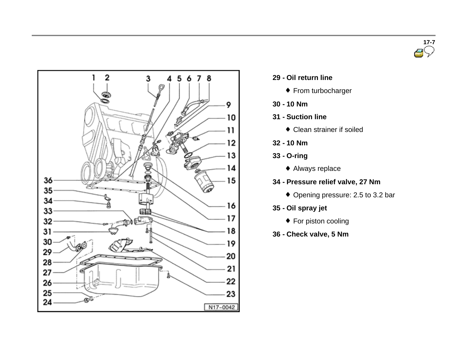



- **29 - Oil return line**
	- ◆ From turbocharger
- **30 - 10 Nm**
- **31 - Suction line**
	- Clean strainer if soiled
- **32 - 10 Nm**
- **33 - O-ring**
	- Always replace
- **34 - Pressure relief valve, 27 Nm**
	- ◆ Opening pressure: 2.5 to 3.2 bar
- **35 - Oil spray jet**
	- ◆ For piston cooling
- **36 - Check valve, 5 Nm**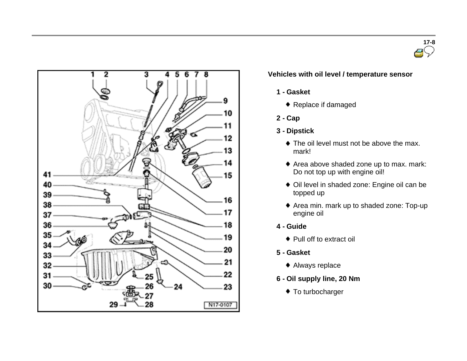



## **Vehicles with oil level / temperature sensor**

- **1 - Gasket**
	- ◆ Replace if damaged
- **2 - Cap**
- **3 - Dipstick**
	- The oil level must not be above the max. mark!
	- Area above shaded zone up to max. mark: Do not top up with engine oil!
	- Oil level in shaded zone: Engine oil can be topped up
	- Area min. mark up to shaded zone: Top-up engine oil
- **4 - Guide**
	- ◆ Pull off to extract oil
- **5 - Gasket**
	- Always replace
- **6 - Oil supply line, 20 Nm**
	- ◆ To turbocharger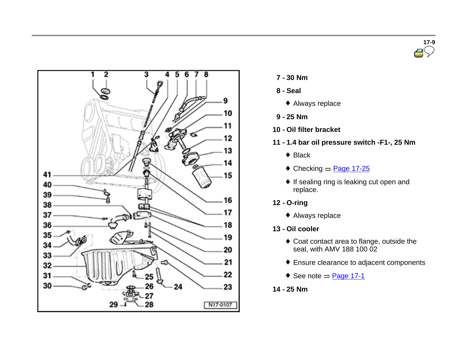



- **7 - <sup>30</sup> Nm**
- **8 - Seal**
	- Always replace
- **9 - 25 Nm**
- **10 - Oil filter bracket**
- **11 - 1.4 bar oil pressure switch -F1-, 25 Nm**
	- ◆ Black
	- $\triangleleft$  Checking  $\Rightarrow$  Page 17-25
	- If sealing ring is leaking cut open and replace.
- **12 - O-ring**
	- Always replace
- **13 - Oil cooler**
	- Coat contact area to flange, outside the seal, with AMV 188 100 02
	- Ensure clearance to adjacent components
	- $\bullet$  See note  $\Rightarrow$  Page 17-1
- **14 - 25 Nm**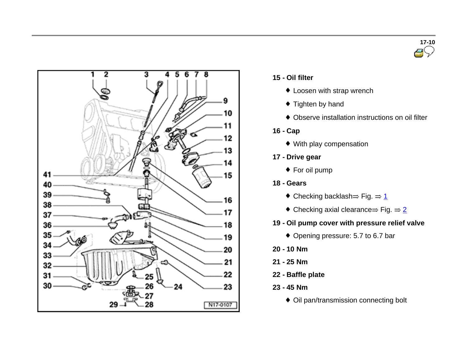



## **15 - Oil filter**

- $\bullet$  Loosen with strap wrench
- $\bullet$  Tighten by hand
- Observe installation instructions on oil filter

## **16 - Cap**

- With play compensation
- **17 - Drive gear**
	- ◆ For oil pump

## **18 - Gears**

- $\bullet$  Checking backlash  $\Rightarrow$  Fig.  $\Rightarrow$  1
- $\bullet$  Checking axial clearance  $\Rightarrow$  Fig.  $\Rightarrow$  2

## **19 - Oil pump cover with pressure relief valve**

- ◆ Opening pressure: 5.7 to 6.7 bar
- **20 - 10 Nm**
- **21 - 25 Nm**
- **22 - Baffle plate**
- **23 - 45 Nm**
	- Oil pan/transmission connecting bolt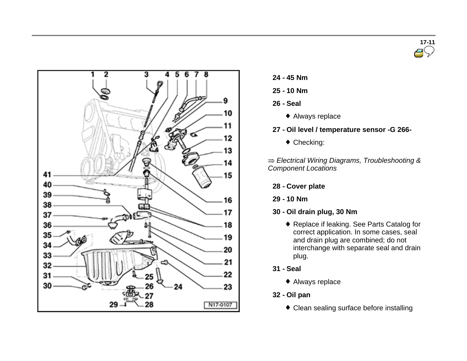



- **24 - 45 Nm**
- **25 - 10 Nm**
- **26 - Seal**
	- Always replace
- **27 - Oil level / temperature sensor -G 266-**
	- ◆ Checking:

*Electrical Wiring Diagrams, Troubleshooting & Component Locations*

- **28 - Cover plate**
- **29 - 10 Nm**
- **30 - Oil drain plug, 30 Nm**
	- ◆ Replace if leaking. See Parts Catalog for correct application. In some cases, seal and drain plug are combined; do not interchange with separate seal and drain plug.
- **31 - Seal**
	- Always replace
- **32 - Oil pan**
	- Clean sealing surface before installing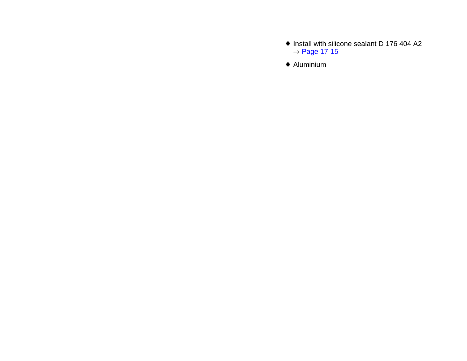- ♦ Install with silicone sealant D 176 404 A2  $=$  Page 17-15
- Aluminium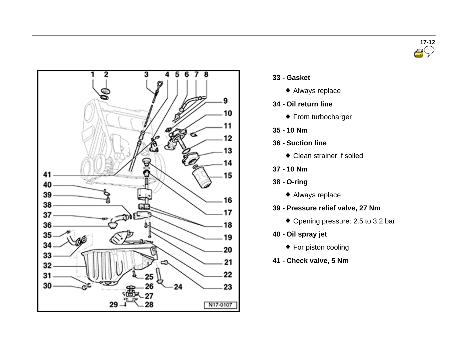



- **33 - Gasket**
	- Always replace
- **34 - Oil return line**
	- ◆ From turbocharger
- **35 - 10 Nm**
- **36 - Suction line**
	- Clean strainer if soiled
- **37 - 10 Nm**
- **38 - O-ring**
	- Always replace
- **39 - Pressure relief valve, 27 Nm**
	- Opening pressure: 2.5 to 3.2 bar
- **40 - Oil spray jet**
	- ◆ For piston cooling
- **41 - Check valve, 5 Nm**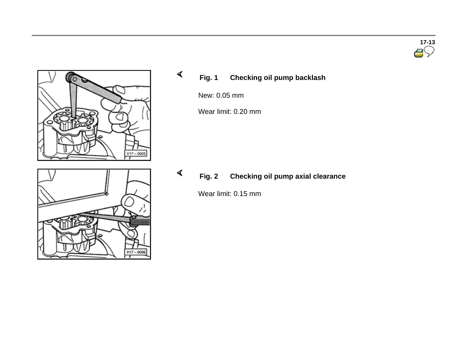

## **Fig. 1 Checking oil pump backlash**

New: 0.05 mm

 $\blacktriangleleft$ 

 $\prec$ 

 $V17 - 0006$ 

Wear limit: 0.20 mm

**Fig. 2 Checking oil pump axial clearance**

Wear limit: 0.15 mm

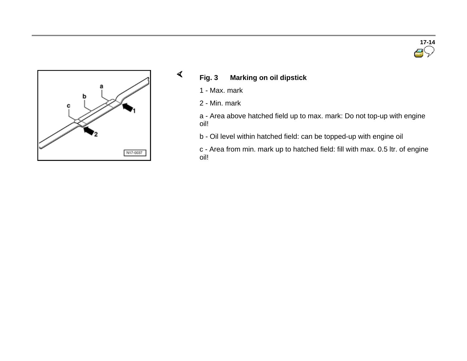



- **Fig. 3 Marking on oil dipstick**
	- 1 Max. mark

 $\blacktriangleleft$ 

2 - Min. mark

a - Area above hatched field up to max. mark: Do not top-up with engine oil!

b - Oil level within hatched field: can be topped-up with engine oil

c - Area from min. mark up to hatched field: fill with max. 0.5 ltr. of engine oil!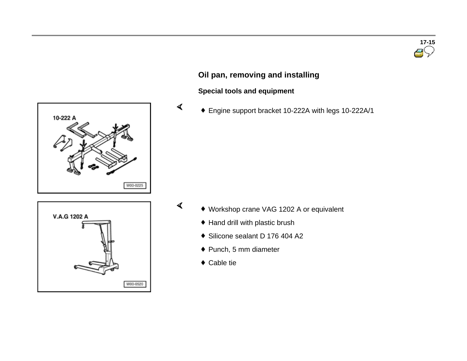# **17-15**

## **Oil pan, removing and installing**

## **Special tools and equipment**

 $\blacktriangleleft$ 

 $\blacktriangleleft$ 

Engine support bracket 10-222A with legs 10-222A/1





- Workshop crane VAG 1202 A or equivalent
	- ◆ Hand drill with plastic brush
	- Silicone sealant D 176 404 A2
	- Punch, 5 mm diameter
	- Cable tie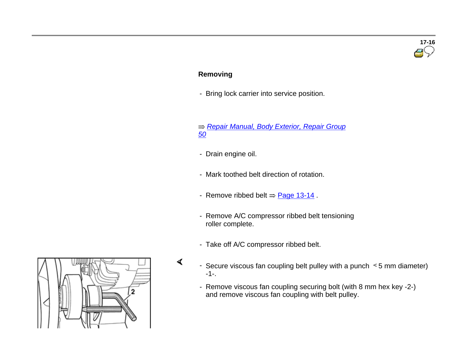# **17-16**

### **Removing**

- Bring lock carrier into service position.

 *Repair Manual, Body Exterior, Repair Group 50*

- Drain engine oil.

 $\blacktriangleleft$ 

- Mark toothed belt direction of rotation.
- Remove ribbed belt  $\Rightarrow$  Page 13-14.
- Remove A/C compressor ribbed belt tensioning roller complete.
- Take off A/C compressor ribbed belt.
- Secure viscous fan coupling belt pulley with a punch  $\leq$  5 mm diameter) -1-.
	- Remove viscous fan coupling securing bolt (with 8 mm hex key -2-) and remove viscous fan coupling with belt pulley.

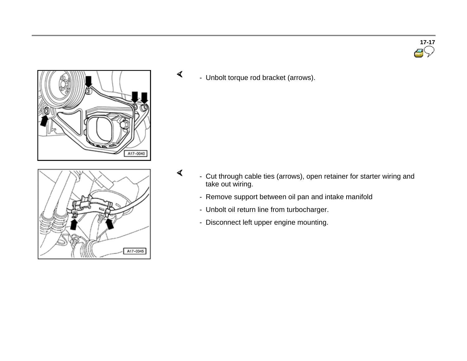

 $\blacktriangleleft$ - Unbolt torque rod bracket (arrows).

 $\blacktriangleleft$ 

A17-0045

- Cut through cable ties (arrows), open retainer for starter wiring and take out wiring.
	- Remove support between oil pan and intake manifold
	- Unbolt oil return line from turbocharger.
	- Disconnect left upper engine mounting.

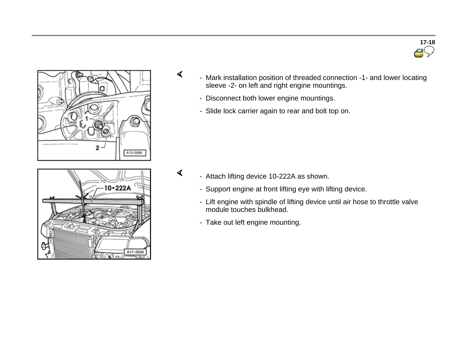



 $\blacktriangleleft$ 



- Disconnect both lower engine mountings.
- Slide lock carrier again to rear and bolt top on.

- $\blacktriangleleft$  - Attach lifting device 10-222A as shown.
	- Support engine at front lifting eye with lifting device.
	- Lift engine with spindle of lifting device until air hose to throttle valve module touches bulkhead.
	- Take out left engine mounting.

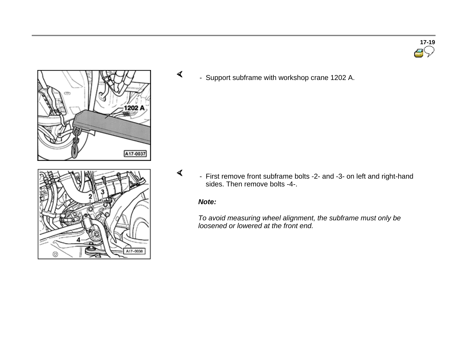

0

- Support subframe with workshop crane 1202 A.

- First remove front subframe bolts -2- and -3- on left and right-hand sides. Then remove bolts -4-.

#### *Note:*

 $\blacktriangleleft$ 

 $\blacktriangleleft$ 

A17-0038

*To avoid measuring wheel alignment, the subframe must only be loosened or lowered at the front end.*

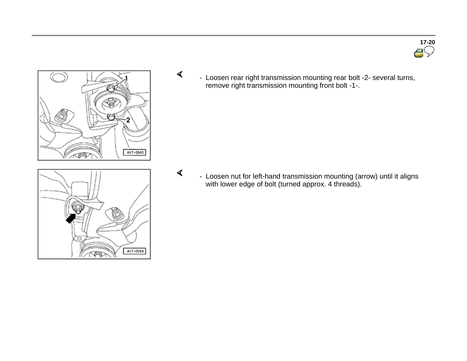**17-20**



 $\blacktriangleleft$ 

 $\blacktriangleleft$ 

 - Loosen rear right transmission mounting rear bolt -2- several turns, remove right transmission mounting front bolt -1-.

 - Loosen nut for left-hand transmission mounting (arrow) until it aligns with lower edge of bolt (turned approx. 4 threads).

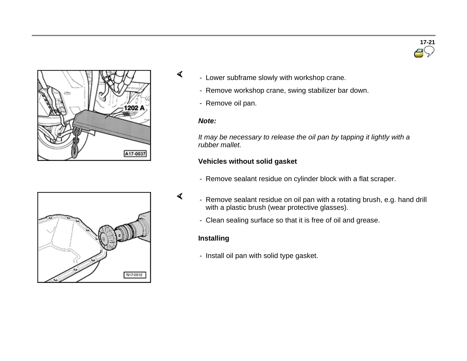



- Lower subframe slowly with workshop crane.
	- Remove workshop crane, swing stabilizer bar down.
	- Remove oil pan.

#### *Note:*

 $\blacktriangleleft$ 

 $\blacktriangleleft$ 

*It may be necessary to release the oil pan by tapping it lightly with a rubber mallet.*

#### **Vehicles without solid gasket**

- Remove sealant residue on cylinder block with a flat scraper.



- Remove sealant residue on oil pan with a rotating brush, e.g. hand drill with a plastic brush (wear protective glasses).
	- Clean sealing surface so that it is free of oil and grease.

## **Installing**

- Install oil pan with solid type gasket.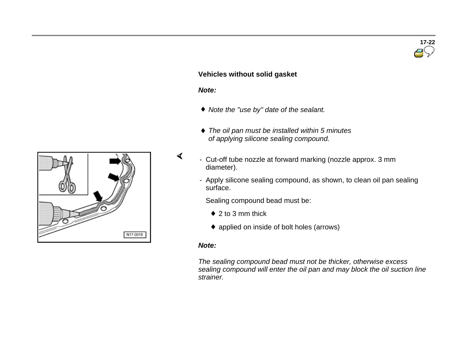

#### **Vehicles without solid gasket**

#### *Note:*

 $\blacktriangleleft$ 

- *Note the "use by" date of the sealant.*
- *The oil pan must be installed within <sup>5</sup> minutes of applying silicone sealing compound.*
- Cut-off tube nozzle at forward marking (nozzle approx. 3 mm diameter).
	- Apply silicone sealing compound, as shown, to clean oil pan sealing surface.

Sealing compound bead must be:

- $\bullet$  2 to 3 mm thick
- applied on inside of bolt holes (arrows)

#### *Note:*

*The sealing compound bead must not be thicker, otherwise excess sealing compound will enter the oil pan and may block the oil suction line strainer.*

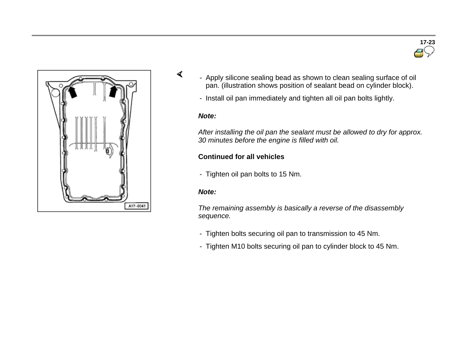

- Apply silicone sealing bead as shown to clean sealing surface of oil pan. (illustration shows position of sealant bead on cylinder block).

**17-23**

- Install oil pan immediately and tighten all oil pan bolts lightly.

#### *Note:*

 $\blacktriangleleft$ 

*After installing the oil pan the sealant must be allowed to dry for approx. 30 minutes before the engine is filled with oil.*

#### **Continued for all vehicles**

- Tighten oil pan bolts to 15 Nm.

#### *Note:*

*The remaining assembly is basically a reverse of the disassembly sequence.*

- Tighten bolts securing oil pan to transmission to 45 Nm.
- Tighten M10 bolts securing oil pan to cylinder block to 45 Nm.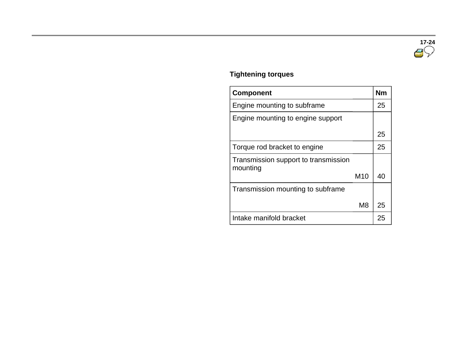

## **Tightening torques**

|  | <b>Component</b>                                 |                 | <b>Nm</b> |
|--|--------------------------------------------------|-----------------|-----------|
|  | Engine mounting to subframe                      |                 | 25        |
|  | Engine mounting to engine support                |                 |           |
|  |                                                  |                 | 25        |
|  | Torque rod bracket to engine                     |                 | 25        |
|  | Transmission support to transmission<br>mounting |                 |           |
|  |                                                  | M <sub>10</sub> | 40        |
|  | Transmission mounting to subframe                |                 |           |
|  |                                                  | M <sub>8</sub>  | 25        |
|  | Intake manifold bracket                          |                 | 25        |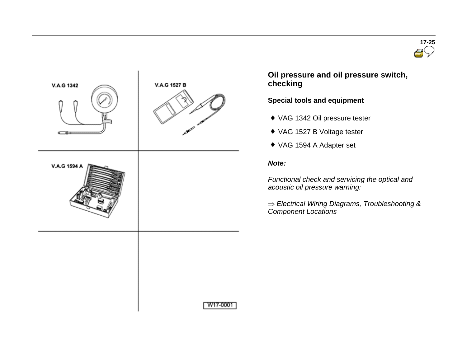



 **Oil pressure and oil pressure switch, checking**

**Special tools and equipment** 

- VAG 1342 Oil pressure tester
- VAG 1527 B Voltage tester
- VAG 1594 A Adapter set

#### *Note:*

*Functional check and servicing the optical and acoustic oil pressure warning:*

*Electrical Wiring Diagrams, Troubleshooting & Component Locations*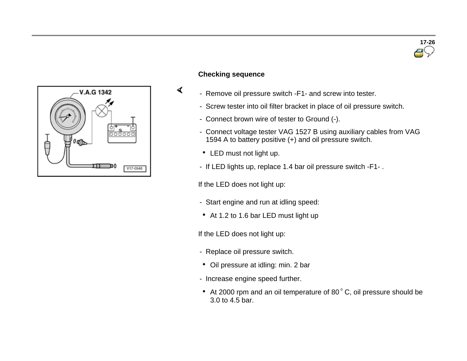

#### **Checking sequence**

 $\blacktriangleleft$ 

- Remove oil pressure switch -F1- and screw into tester.
- Screw tester into oil filter bracket in place of oil pressure switch.
- Connect brown wire of tester to Ground (-).
- Connect voltage tester VAG 1527 B using auxiliary cables from VAG 1594 A to battery positive (+) and oil pressure switch.
- LED must not light up.
- If LED lights up, replace 1.4 bar oil pressure switch -F1- .

If the LED does not light up:

- Start engine and run at idling speed:
- At 1.2 to 1.6 bar LED must light up

If the LED does not light up:

- Replace oil pressure switch.
- Oil pressure at idling: min. 2 bar
- Increase engine speed further.
- $\bullet$  At 2000 rpm and an oil temperature of 80 $\degree$ C, oil pressure should be 3.0 to 4.5 bar.